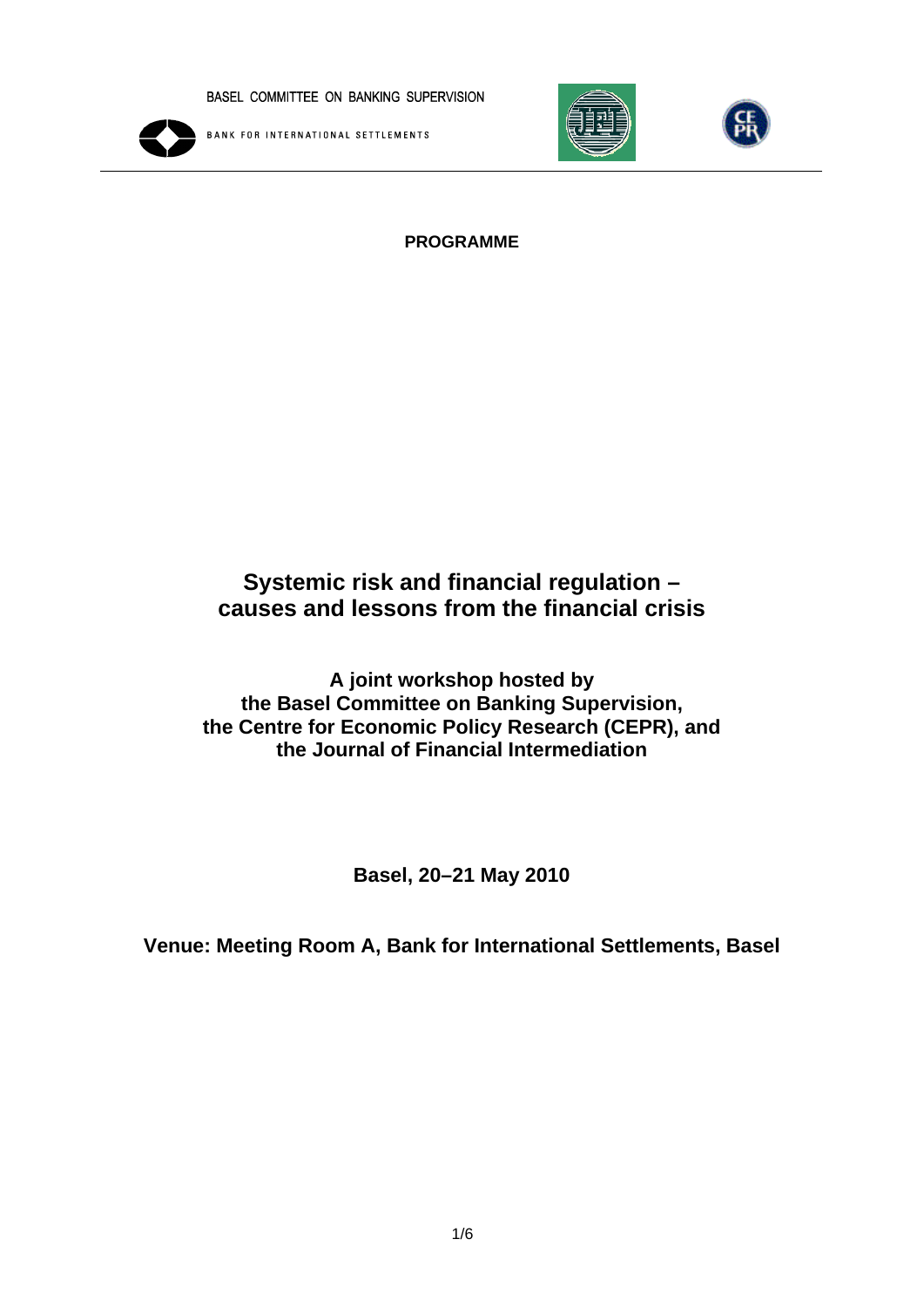

**BANK FOR INTERNATIONAL SETTLEMENTS** 





### **PROGRAMME**

# **Systemic risk and financial regulation – causes and lessons from the financial crisis**

**A joint workshop hosted by the Basel Committee on Banking Supervision, the Centre for Economic Policy Research (CEPR), and the Journal of Financial Intermediation** 

**Basel, 20–21 May 2010** 

**Venue: Meeting Room A, Bank for International Settlements, Basel**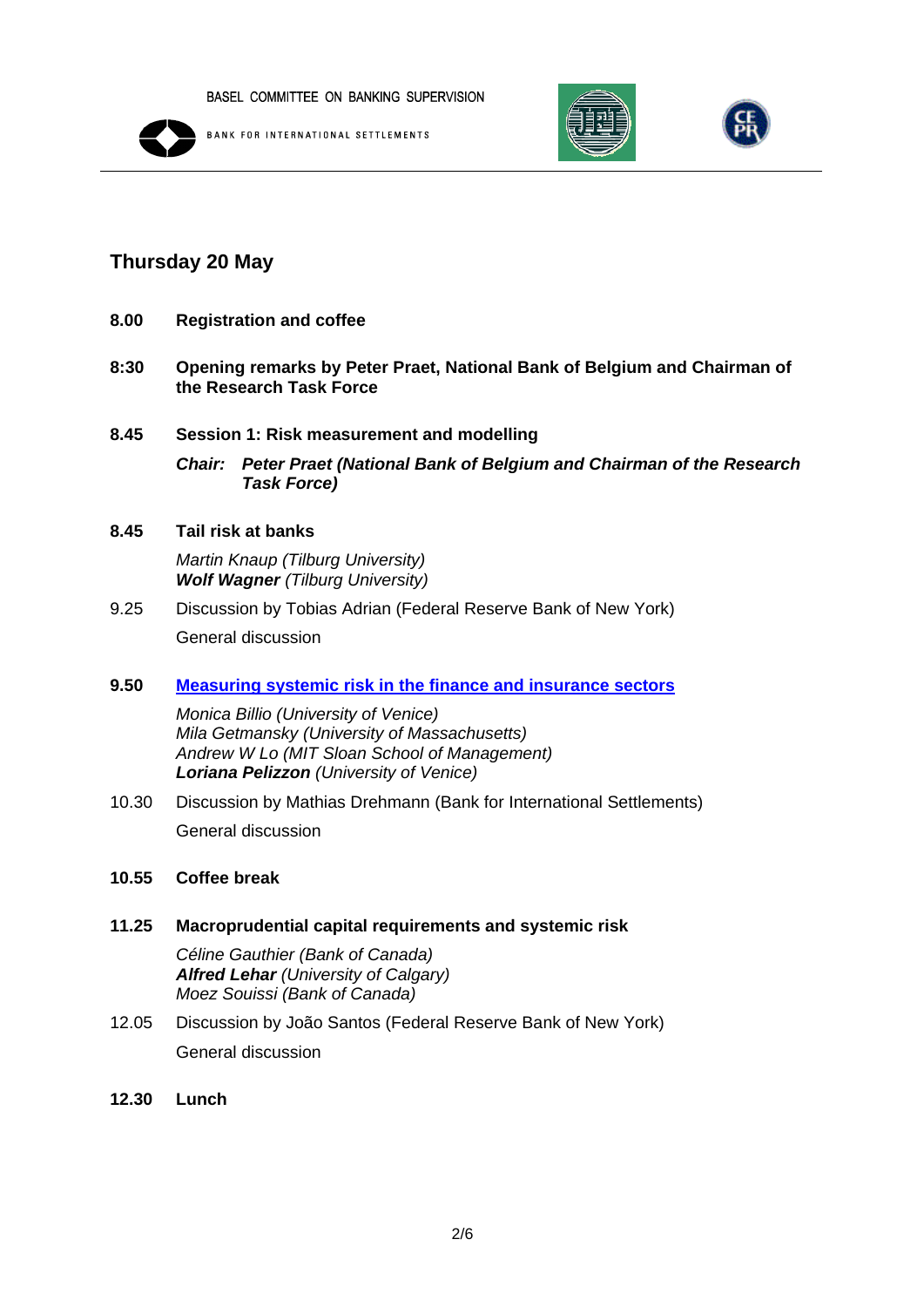

**BANK FOR INTERNATIONAL SETTLEMENTS** 





## **Thursday 20 May**

- **8.00 Registration and coffee**
- **8:30 Opening remarks by Peter Praet, National Bank of Belgium and Chairman of the Research Task Force**
- **8.45 Session 1: Risk measurement and modelling**

*Chair: Peter Praet (National Bank of Belgium and Chairman of the Research Task Force)* 

- **8.45 Tail risk at banks**  *Martin Knaup (Tilburg University) Wolf Wagner (Tilburg University)*
- 9.25 Discussion by Tobias Adrian (Federal Reserve Bank of New York) General discussion
- **9.50 [Measuring systemic risk in the finance and insurance sectors](http://www.bis.org/bcbs/events/sfrworkshopprogramme/billio.pdf)**

*Monica Billio (University of Venice) Mila Getmansky (University of Massachusetts) Andrew W Lo (MIT Sloan School of Management) Loriana Pelizzon (University of Venice)* 

10.30 Discussion by Mathias Drehmann (Bank for International Settlements) General discussion

### **10.55 Coffee break**

**11.25 Macroprudential capital requirements and systemic risk** 

*Céline Gauthier (Bank of Canada) Alfred Lehar (University of Calgary) Moez Souissi (Bank of Canada)* 

- 12.05 Discussion by João Santos (Federal Reserve Bank of New York) General discussion
- **12.30 Lunch**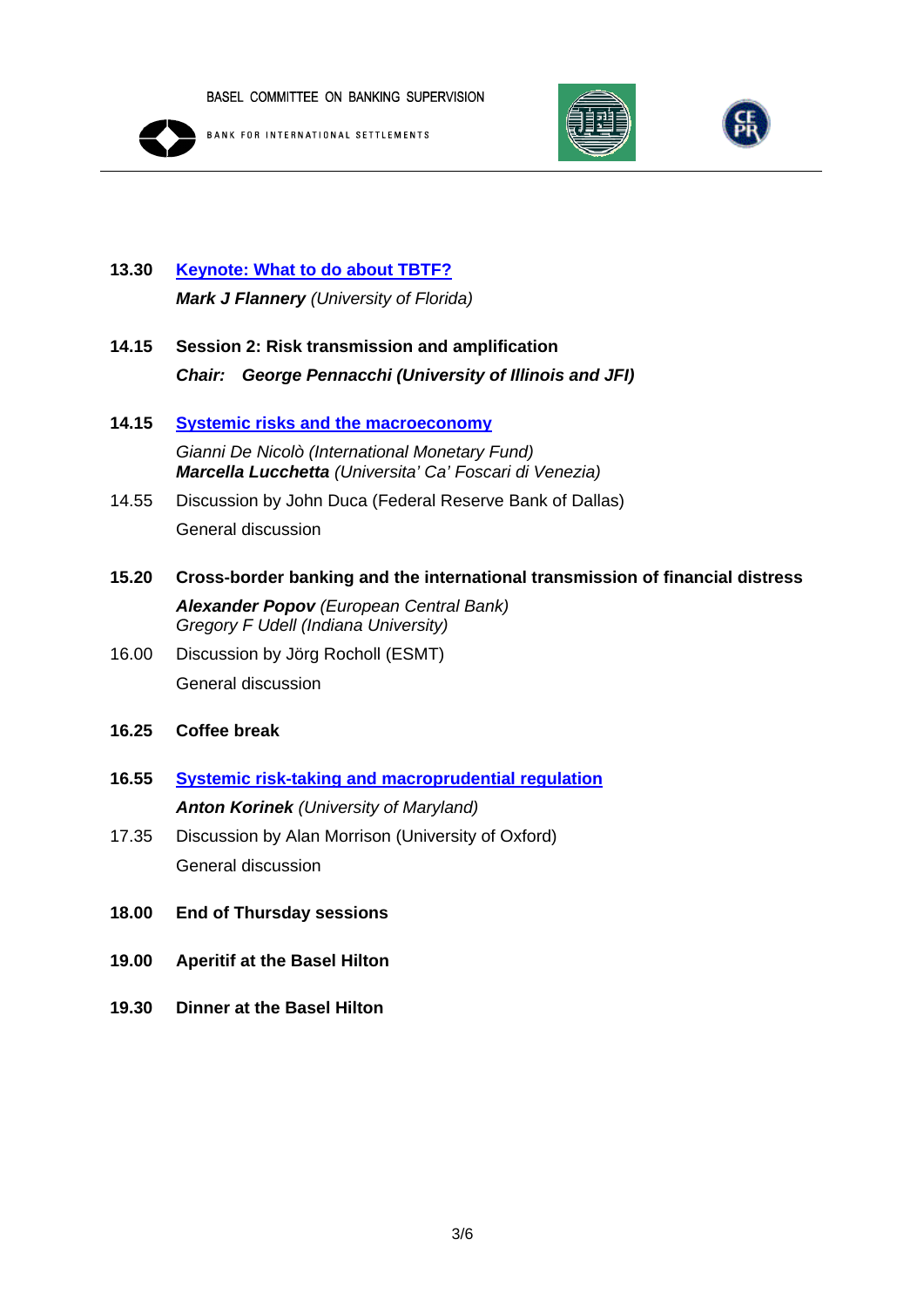

**BANK FOR INTERNATIONAL SETTLEMENTS** 





# **13.30 [Keynote: What to do about TBTF?](http://www.bis.org/bcbs/events/sfrworkshopprogramme/flannery.pdf)** *Mark J Flannery (University of Florida)*

- **14.15 Session 2: Risk transmission and amplification**  *Chair: George Pennacchi (University of Illinois and JFI)*
- **14.15 [Systemic risks and the macroeconomy](http://www.bis.org/bcbs/events/sfrworkshopprogramme/denicolo.pdf)** *Gianni De Nicolò (International Monetary Fund) Marcella Lucchetta (Universita' Ca' Foscari di Venezia)*
- 14.55 Discussion by John Duca (Federal Reserve Bank of Dallas) General discussion
- **15.20 Cross-border banking and the international transmission of financial distress**  *Alexander Popov (European Central Bank) Gregory F Udell (Indiana University)*
- 16.00 Discussion by Jörg Rocholl (ESMT) General discussion
- **16.25 Coffee break**
- **16.55 [Systemic risk-taking and macroprudential regulation](http://www.korinek.com/download/SystemicRisk.pdf)** *Anton Korinek (University of Maryland)*
- 17.35 Discussion by Alan Morrison (University of Oxford) General discussion
- **18.00 End of Thursday sessions**
- **19.00 Aperitif at the Basel Hilton**
- **19.30 Dinner at the Basel Hilton**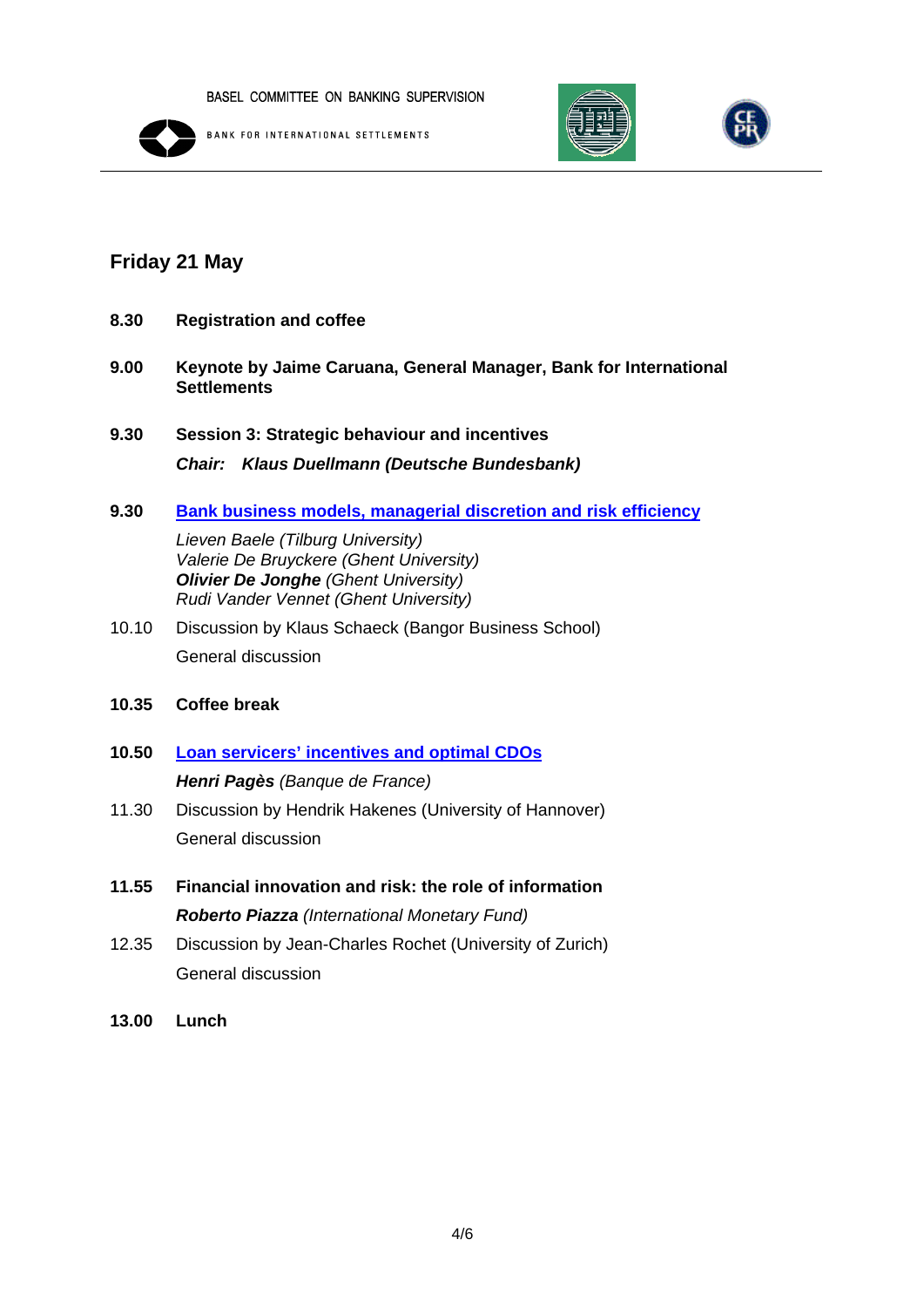

**BANK FOR INTERNATIONAL SETTLEMENTS** 





# **Friday 21 May**

- **8.30 Registration and coffee**
- **9.00 Keynote by Jaime Caruana, General Manager, Bank for International Settlements**
- **9.30 Session 3: Strategic behaviour and incentives**  *Chair: Klaus Duellmann (Deutsche Bundesbank)*
- **9.30 [Bank business models, managerial discretion and risk efficiency](http://www.bis.org/bcbs/events/sfrworkshopprogramme/baele.pdf)**

*Lieven Baele (Tilburg University) Valerie De Bruyckere (Ghent University) Olivier De Jonghe (Ghent University) Rudi Vander Vennet (Ghent University)* 

- 10.10 Discussion by Klaus Schaeck (Bangor Business School) General discussion
- **10.35 Coffee break**
- **10.50 [Loan servicers' incentives and optimal CDOs](http://www.bis.org/bcbs/events/sfrworkshopprogramme/pages.pdf)** *Henri Pagès (Banque de France)*
- 11.30 Discussion by Hendrik Hakenes (University of Hannover) General discussion
- **11.55 Financial innovation and risk: the role of information**  *Roberto Piazza (International Monetary Fund)*
- 12.35 Discussion by Jean-Charles Rochet (University of Zurich) General discussion
- **13.00 Lunch**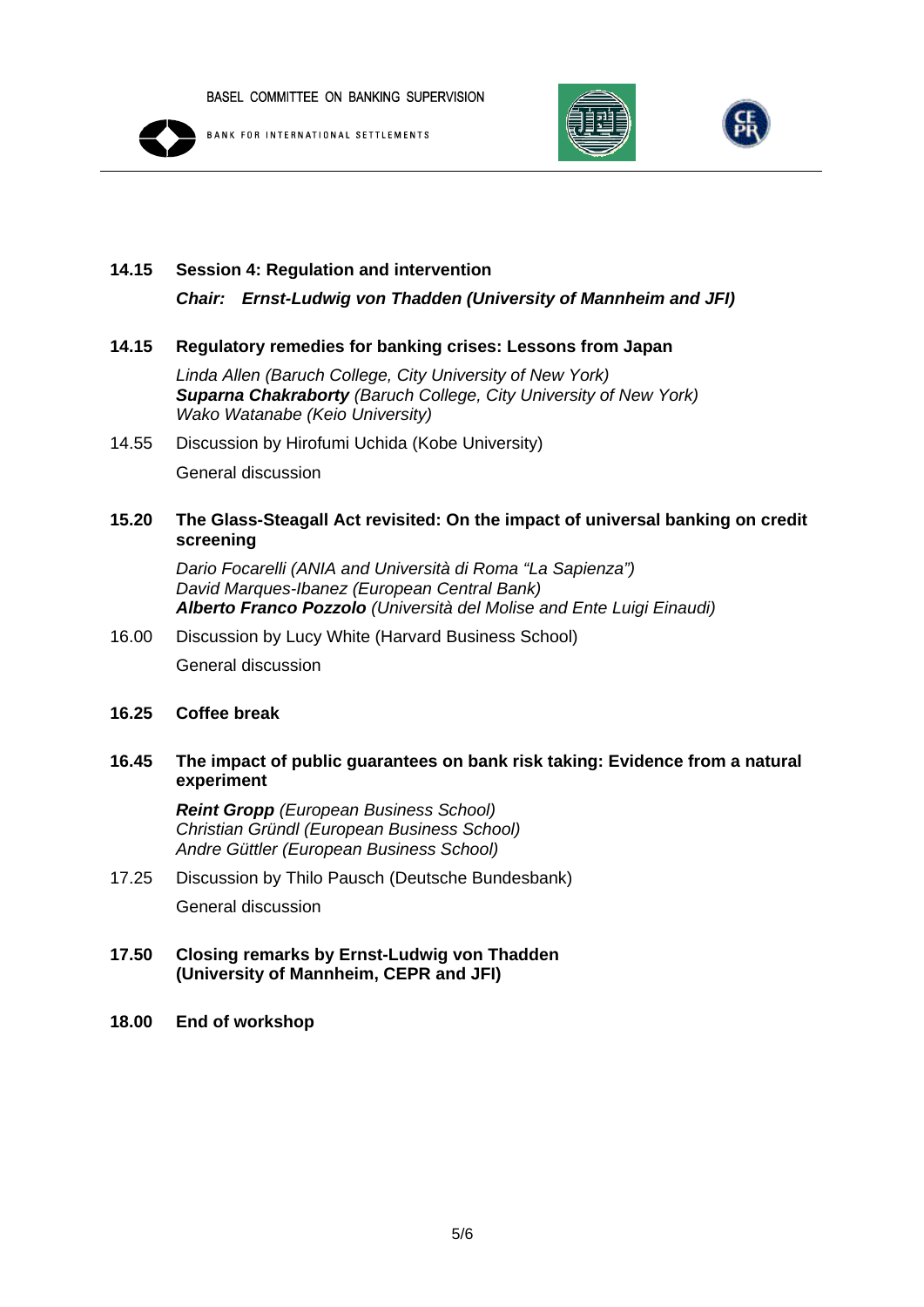

**BANK FOR INTERNATIONAL SETTLEMENTS** 





#### **14.15 Session 4: Regulation and intervention**

*Chair: Ernst-Ludwig von Thadden (University of Mannheim and JFI)* 

#### **14.15 Regulatory remedies for banking crises: Lessons from Japan**

*Linda Allen (Baruch College, City University of New York) Suparna Chakraborty (Baruch College, City University of New York) Wako Watanabe (Keio University)* 

14.55 Discussion by Hirofumi Uchida (Kobe University) General discussion

#### **15.20 The Glass-Steagall Act revisited: On the impact of universal banking on credit screening**

*Dario Focarelli (ANIA and Università di Roma "La Sapienza") David Marques-Ibanez (European Central Bank) Alberto Franco Pozzolo (Università del Molise and Ente Luigi Einaudi)* 

16.00 Discussion by Lucy White (Harvard Business School) General discussion

#### **16.25 Coffee break**

### **16.45 The impact of public guarantees on bank risk taking: Evidence from a natural experiment**

*Reint Gropp (European Business School) Christian Gründl (European Business School) Andre Güttler (European Business School)* 

### 17.25 Discussion by Thilo Pausch (Deutsche Bundesbank) General discussion

#### **17.50 Closing remarks by Ernst-Ludwig von Thadden (University of Mannheim, CEPR and JFI)**

**18.00 End of workshop**